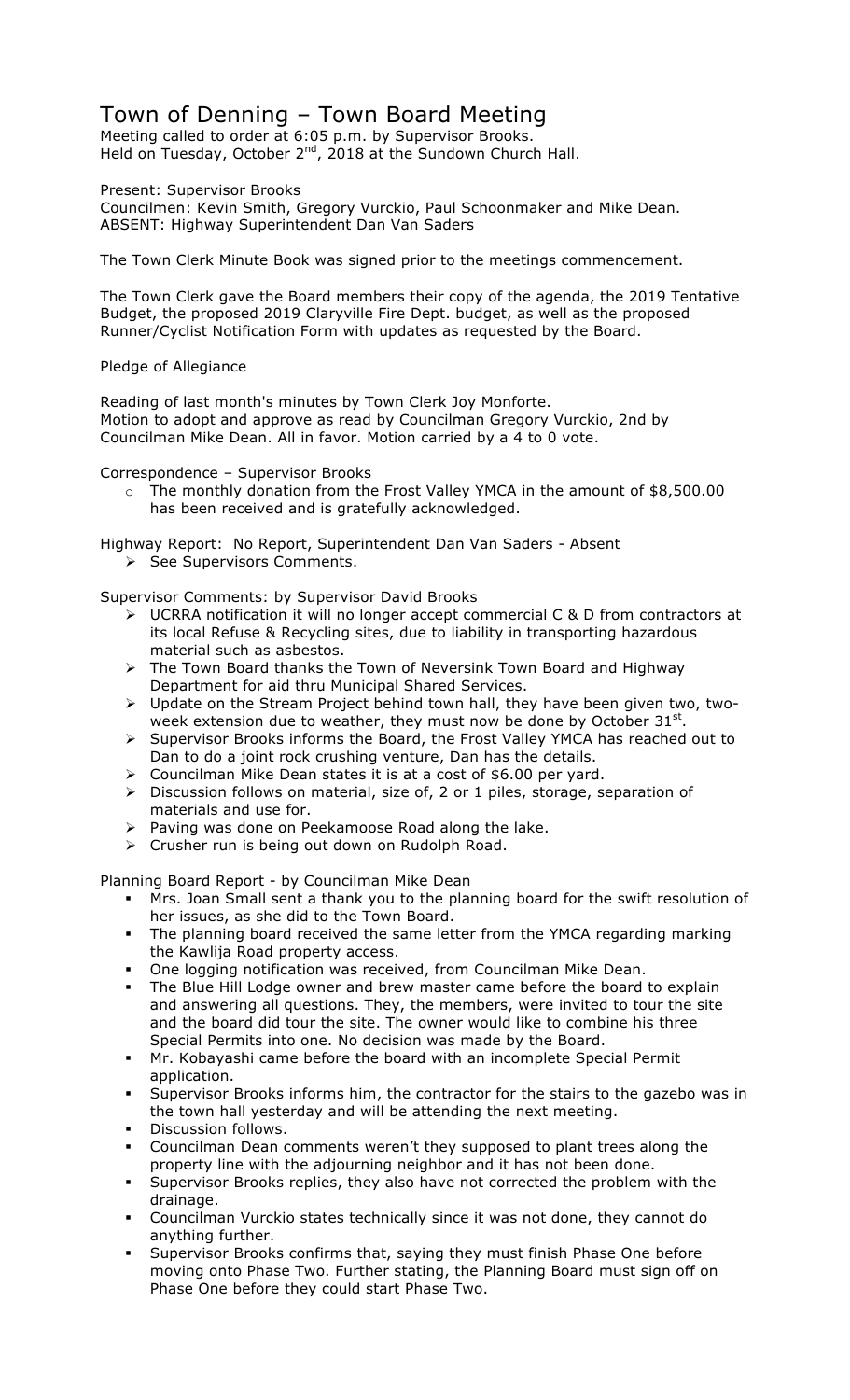## Town of Denning – Town Board Meeting

Meeting called to order at 6:05 p.m. by Supervisor Brooks. Held on Tuesday, October 2<sup>nd</sup>, 2018 at the Sundown Church Hall.

Present: Supervisor Brooks

Councilmen: Kevin Smith, Gregory Vurckio, Paul Schoonmaker and Mike Dean. ABSENT: Highway Superintendent Dan Van Saders

The Town Clerk Minute Book was signed prior to the meetings commencement.

The Town Clerk gave the Board members their copy of the agenda, the 2019 Tentative Budget, the proposed 2019 Claryville Fire Dept. budget, as well as the proposed Runner/Cyclist Notification Form with updates as requested by the Board.

## Pledge of Allegiance

Reading of last month's minutes by Town Clerk Joy Monforte. Motion to adopt and approve as read by Councilman Gregory Vurckio, 2nd by Councilman Mike Dean. All in favor. Motion carried by a 4 to 0 vote.

Correspondence – Supervisor Brooks

o The monthly donation from the Frost Valley YMCA in the amount of \$8,500.00 has been received and is gratefully acknowledged.

Highway Report: No Report, Superintendent Dan Van Saders - Absent

> See Supervisors Comments.

Supervisor Comments: by Supervisor David Brooks

- > UCRRA notification it will no longer accept commercial C & D from contractors at its local Refuse & Recycling sites, due to liability in transporting hazardous material such as asbestos.
- > The Town Board thanks the Town of Neversink Town Board and Highway Department for aid thru Municipal Shared Services.
- ! Update on the Stream Project behind town hall, they have been given two, twoweek extension due to weather, they must now be done by October  $31<sup>st</sup>$ .
- ! Supervisor Brooks informs the Board, the Frost Valley YMCA has reached out to Dan to do a joint rock crushing venture, Dan has the details.
- $\triangleright$  Councilman Mike Dean states it is at a cost of \$6.00 per yard.
- $\triangleright$  Discussion follows on material, size of, 2 or 1 piles, storage, separation of materials and use for.
- > Paving was done on Peekamoose Road along the lake.
- $\triangleright$  Crusher run is being out down on Rudolph Road.

Planning Board Report - by Councilman Mike Dean

- " Mrs. Joan Small sent a thank you to the planning board for the swift resolution of her issues, as she did to the Town Board.
- " The planning board received the same letter from the YMCA regarding marking the Kawlija Road property access.
- **One logging notification was received, from Councilman Mike Dean.**
- The Blue Hill Lodge owner and brew master came before the board to explain and answering all questions. They, the members, were invited to tour the site and the board did tour the site. The owner would like to combine his three Special Permits into one. No decision was made by the Board.
- " Mr. Kobayashi came before the board with an incomplete Special Permit application.
- Supervisor Brooks informs him, the contractor for the stairs to the gazebo was in the town hall yesterday and will be attending the next meeting.
- Discussion follows.
- " Councilman Dean comments weren't they supposed to plant trees along the property line with the adjourning neighbor and it has not been done.
- Supervisor Brooks replies, they also have not corrected the problem with the drainage.
- " Councilman Vurckio states technically since it was not done, they cannot do anything further.
- Supervisor Brooks confirms that, saying they must finish Phase One before moving onto Phase Two. Further stating, the Planning Board must sign off on Phase One before they could start Phase Two.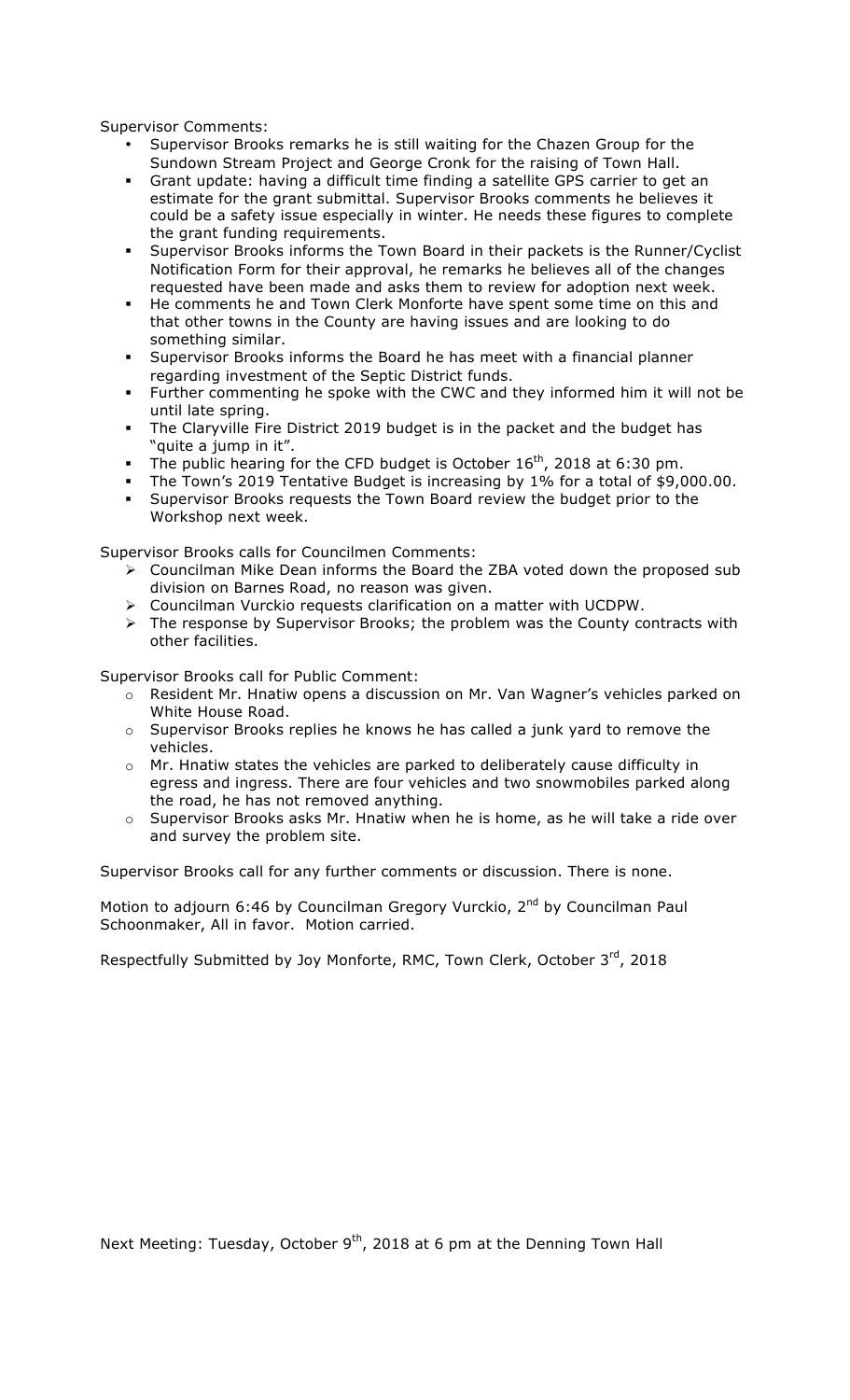Supervisor Comments:

- Supervisor Brooks remarks he is still waiting for the Chazen Group for the Sundown Stream Project and George Cronk for the raising of Town Hall.
- " Grant update: having a difficult time finding a satellite GPS carrier to get an estimate for the grant submittal. Supervisor Brooks comments he believes it could be a safety issue especially in winter. He needs these figures to complete the grant funding requirements.
- " Supervisor Brooks informs the Town Board in their packets is the Runner/Cyclist Notification Form for their approval, he remarks he believes all of the changes requested have been made and asks them to review for adoption next week.
- " He comments he and Town Clerk Monforte have spent some time on this and that other towns in the County are having issues and are looking to do something similar.
- " Supervisor Brooks informs the Board he has meet with a financial planner regarding investment of the Septic District funds.
- " Further commenting he spoke with the CWC and they informed him it will not be until late spring.
- The Claryville Fire District 2019 budget is in the packet and the budget has "quite a jump in it".
- The public hearing for the CFD budget is October  $16^{th}$ , 2018 at 6:30 pm.
- The Town's 2019 Tentative Budget is increasing by 1% for a total of \$9,000.00.
- " Supervisor Brooks requests the Town Board review the budget prior to the Workshop next week.

Supervisor Brooks calls for Councilmen Comments:

- $\triangleright$  Councilman Mike Dean informs the Board the ZBA voted down the proposed sub division on Barnes Road, no reason was given.
- $\triangleright$  Councilman Vurckio requests clarification on a matter with UCDPW.
- $\triangleright$  The response by Supervisor Brooks; the problem was the County contracts with other facilities.

Supervisor Brooks call for Public Comment:

- o Resident Mr. Hnatiw opens a discussion on Mr. Van Wagner's vehicles parked on White House Road.
- o Supervisor Brooks replies he knows he has called a junk yard to remove the vehicles.
- o Mr. Hnatiw states the vehicles are parked to deliberately cause difficulty in egress and ingress. There are four vehicles and two snowmobiles parked along the road, he has not removed anything.
- o Supervisor Brooks asks Mr. Hnatiw when he is home, as he will take a ride over and survey the problem site.

Supervisor Brooks call for any further comments or discussion. There is none.

Motion to adjourn 6:46 by Councilman Gregory Vurckio, 2<sup>nd</sup> by Councilman Paul Schoonmaker, All in favor. Motion carried.

Respectfully Submitted by Joy Monforte, RMC, Town Clerk, October 3rd, 2018

Next Meeting: Tuesday, October 9<sup>th</sup>, 2018 at 6 pm at the Denning Town Hall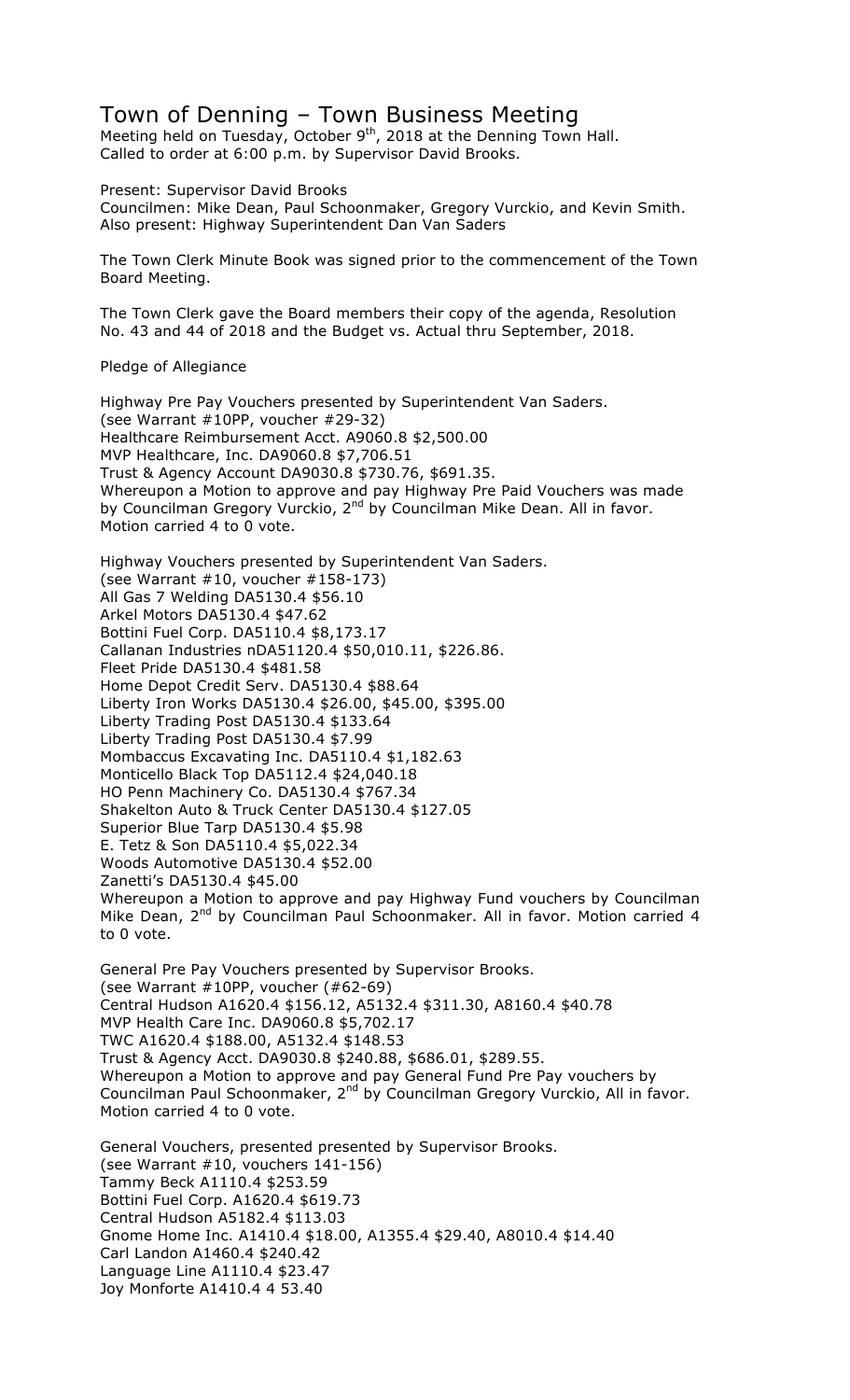## Town of Denning – Town Business Meeting

Meeting held on Tuesday, October  $9^{th}$ , 2018 at the Denning Town Hall. Called to order at 6:00 p.m. by Supervisor David Brooks.

Present: Supervisor David Brooks

Councilmen: Mike Dean, Paul Schoonmaker, Gregory Vurckio, and Kevin Smith. Also present: Highway Superintendent Dan Van Saders

The Town Clerk Minute Book was signed prior to the commencement of the Town Board Meeting.

The Town Clerk gave the Board members their copy of the agenda, Resolution No. 43 and 44 of 2018 and the Budget vs. Actual thru September, 2018.

Pledge of Allegiance

Highway Pre Pay Vouchers presented by Superintendent Van Saders. (see Warrant #10PP, voucher #29-32) Healthcare Reimbursement Acct. A9060.8 \$2,500.00 MVP Healthcare, Inc. DA9060.8 \$7,706.51 Trust & Agency Account DA9030.8 \$730.76, \$691.35. Whereupon a Motion to approve and pay Highway Pre Paid Vouchers was made by Councilman Gregory Vurckio, 2<sup>nd</sup> by Councilman Mike Dean. All in favor. Motion carried 4 to 0 vote.

Highway Vouchers presented by Superintendent Van Saders. (see Warrant #10, voucher #158-173) All Gas 7 Welding DA5130.4 \$56.10 Arkel Motors DA5130.4 \$47.62 Bottini Fuel Corp. DA5110.4 \$8,173.17 Callanan Industries nDA51120.4 \$50,010.11, \$226.86. Fleet Pride DA5130.4 \$481.58 Home Depot Credit Serv. DA5130.4 \$88.64 Liberty Iron Works DA5130.4 \$26.00, \$45.00, \$395.00 Liberty Trading Post DA5130.4 \$133.64 Liberty Trading Post DA5130.4 \$7.99 Mombaccus Excavating Inc. DA5110.4 \$1,182.63 Monticello Black Top DA5112.4 \$24,040.18 HO Penn Machinery Co. DA5130.4 \$767.34 Shakelton Auto & Truck Center DA5130.4 \$127.05 Superior Blue Tarp DA5130.4 \$5.98 E. Tetz & Son DA5110.4 \$5,022.34 Woods Automotive DA5130.4 \$52.00 Zanetti's DA5130.4 \$45.00 Whereupon a Motion to approve and pay Highway Fund vouchers by Councilman Mike Dean, 2<sup>nd</sup> by Councilman Paul Schoonmaker. All in favor. Motion carried 4 to 0 vote.

General Pre Pay Vouchers presented by Supervisor Brooks. (see Warrant #10PP, voucher (#62-69) Central Hudson A1620.4 \$156.12, A5132.4 \$311.30, A8160.4 \$40.78 MVP Health Care Inc. DA9060.8 \$5,702.17 TWC A1620.4 \$188.00, A5132.4 \$148.53 Trust & Agency Acct. DA9030.8 \$240.88, \$686.01, \$289.55. Whereupon a Motion to approve and pay General Fund Pre Pay vouchers by Councilman Paul Schoonmaker, 2<sup>nd</sup> by Councilman Gregory Vurckio, All in favor. Motion carried 4 to 0 vote.

General Vouchers, presented presented by Supervisor Brooks. (see Warrant #10, vouchers 141-156) Tammy Beck A1110.4 \$253.59 Bottini Fuel Corp. A1620.4 \$619.73 Central Hudson A5182.4 \$113.03 Gnome Home Inc. A1410.4 \$18.00, A1355.4 \$29.40, A8010.4 \$14.40 Carl Landon A1460.4 \$240.42 Language Line A1110.4 \$23.47 Joy Monforte A1410.4 4 53.40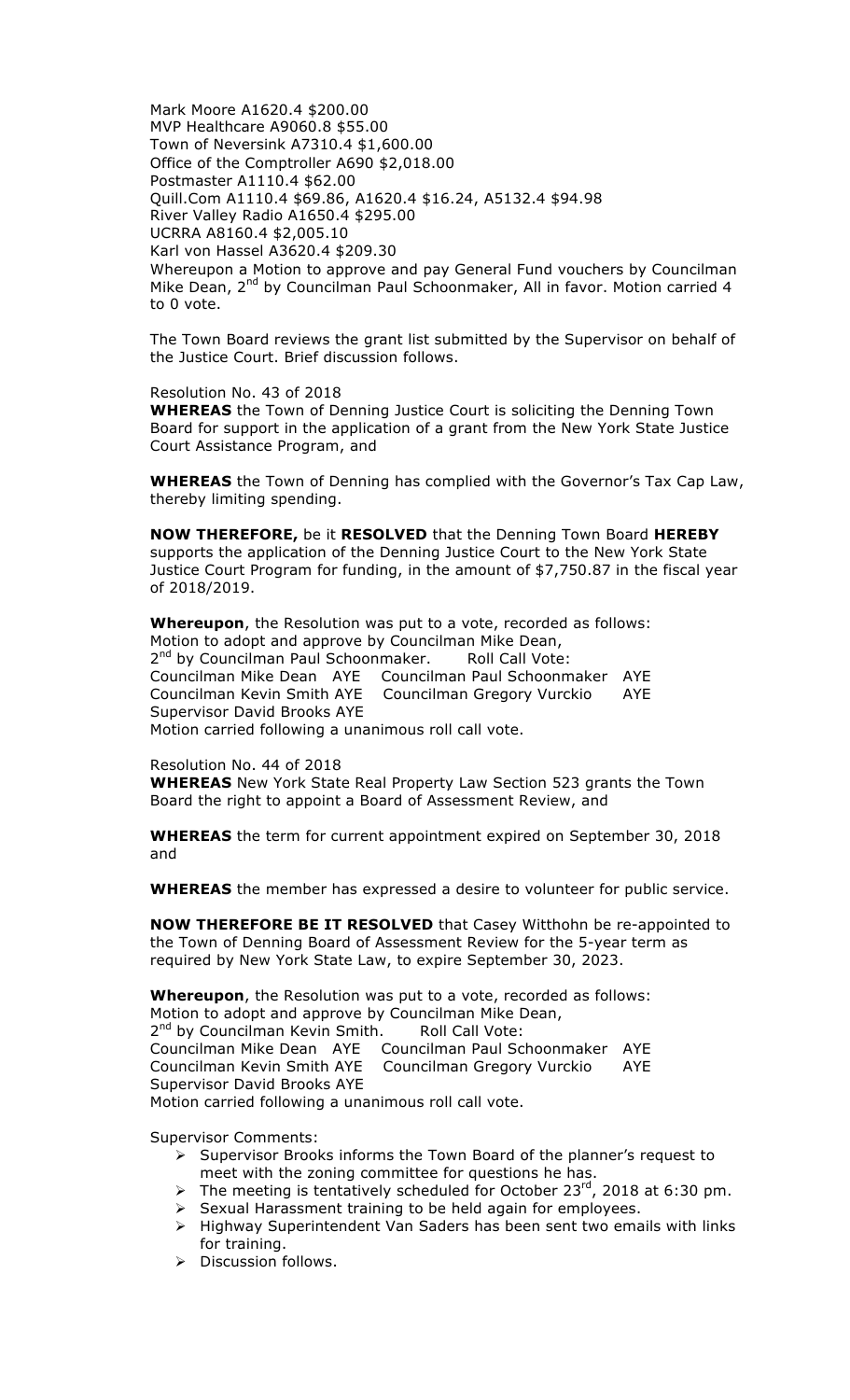Mark Moore A1620.4 \$200.00 MVP Healthcare A9060.8 \$55.00 Town of Neversink A7310.4 \$1,600.00 Office of the Comptroller A690 \$2,018.00 Postmaster A1110.4 \$62.00 Quill.Com A1110.4 \$69.86, A1620.4 \$16.24, A5132.4 \$94.98 River Valley Radio A1650.4 \$295.00 UCRRA A8160.4 \$2,005.10 Karl von Hassel A3620.4 \$209.30 Whereupon a Motion to approve and pay General Fund vouchers by Councilman Mike Dean, 2<sup>nd</sup> by Councilman Paul Schoonmaker, All in favor. Motion carried 4 to 0 vote.

The Town Board reviews the grant list submitted by the Supervisor on behalf of the Justice Court. Brief discussion follows.

Resolution No. 43 of 2018 **WHEREAS** the Town of Denning Justice Court is soliciting the Denning Town Board for support in the application of a grant from the New York State Justice Court Assistance Program, and

**WHEREAS** the Town of Denning has complied with the Governor's Tax Cap Law, thereby limiting spending.

**NOW THEREFORE,** be it **RESOLVED** that the Denning Town Board **HEREBY** supports the application of the Denning Justice Court to the New York State Justice Court Program for funding, in the amount of \$7,750.87 in the fiscal year of 2018/2019.

**Whereupon**, the Resolution was put to a vote, recorded as follows: Motion to adopt and approve by Councilman Mike Dean, 2<sup>nd</sup> by Councilman Paul Schoonmaker. Roll Call Vote: Councilman Mike Dean AYE Councilman Paul Schoonmaker AYE Councilman Kevin Smith AYE Councilman Gregory Vurckio AYE Supervisor David Brooks AYE Motion carried following a unanimous roll call vote.

Resolution No. 44 of 2018

**WHEREAS** New York State Real Property Law Section 523 grants the Town Board the right to appoint a Board of Assessment Review, and

**WHEREAS** the term for current appointment expired on September 30, 2018 and

**WHEREAS** the member has expressed a desire to volunteer for public service.

**NOW THEREFORE BE IT RESOLVED** that Casey Witthohn be re-appointed to the Town of Denning Board of Assessment Review for the 5-year term as required by New York State Law, to expire September 30, 2023.

**Whereupon**, the Resolution was put to a vote, recorded as follows: Motion to adopt and approve by Councilman Mike Dean, 2<sup>nd</sup> by Councilman Kevin Smith. Roll Call Vote: Councilman Mike Dean AYE Councilman Paul Schoonmaker AYE Councilman Kevin Smith AYE Councilman Gregory Vurckio AYE Supervisor David Brooks AYE Motion carried following a unanimous roll call vote.

Supervisor Comments:

- > Supervisor Brooks informs the Town Board of the planner's request to meet with the zoning committee for questions he has.
- The meeting is tentatively scheduled for October 23<sup>rd</sup>, 2018 at 6:30 pm.
- $\triangleright$  Sexual Harassment training to be held again for employees.
- $\triangleright$  Highway Superintendent Van Saders has been sent two emails with links for training.
- $\triangleright$  Discussion follows.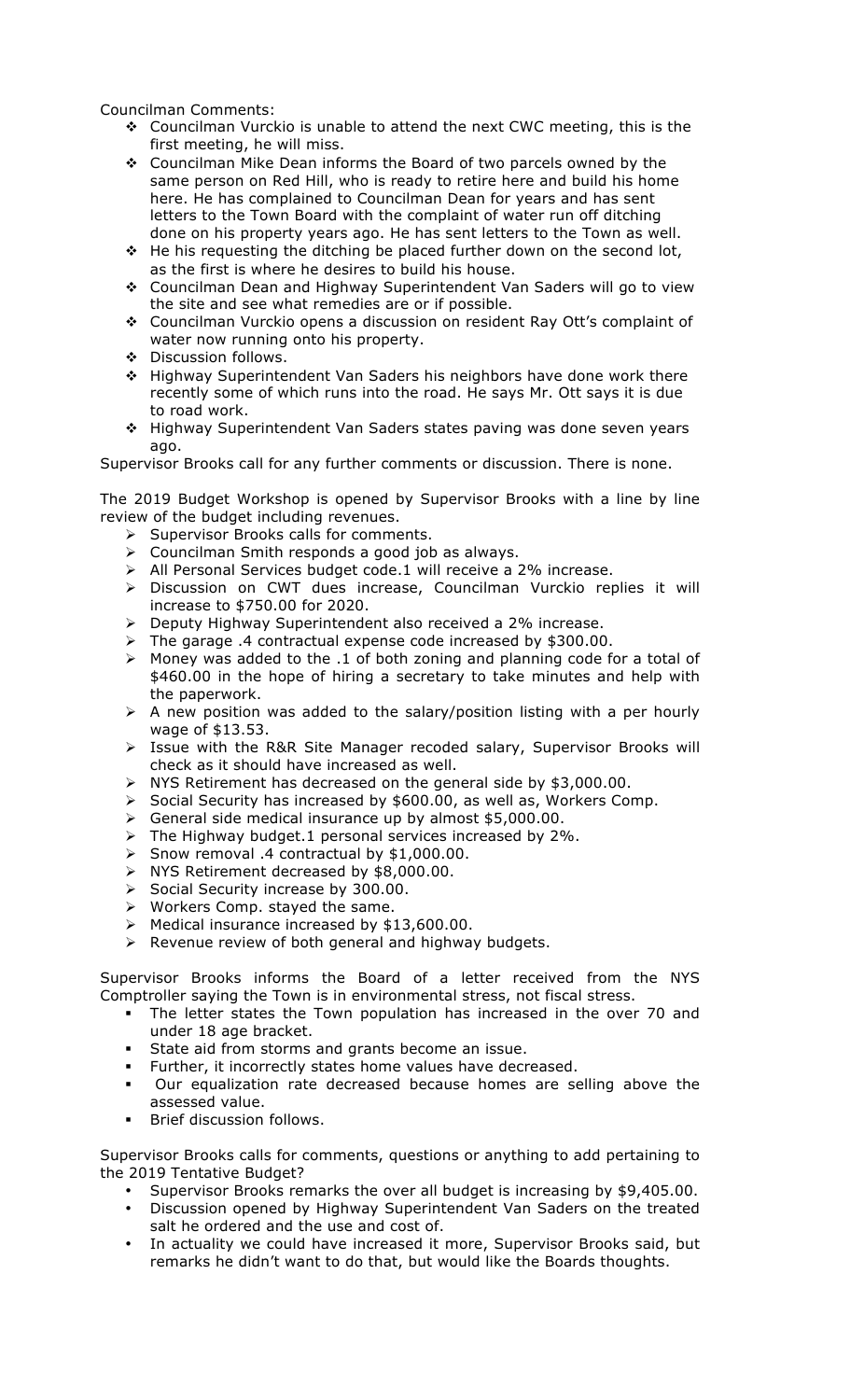Councilman Comments:

- ◆ Councilman Vurckio is unable to attend the next CWC meeting, this is the first meeting, he will miss.
- ❖ Councilman Mike Dean informs the Board of two parcels owned by the same person on Red Hill, who is ready to retire here and build his home here. He has complained to Councilman Dean for years and has sent letters to the Town Board with the complaint of water run off ditching done on his property years ago. He has sent letters to the Town as well.
- \* He his requesting the ditching be placed further down on the second lot, as the first is where he desires to build his house.
- # Councilman Dean and Highway Superintendent Van Saders will go to view the site and see what remedies are or if possible.
- # Councilman Vurckio opens a discussion on resident Ray Ott's complaint of water now running onto his property.
- # Discussion follows.
- \* Highway Superintendent Van Saders his neighbors have done work there recently some of which runs into the road. He says Mr. Ott says it is due to road work.
- # Highway Superintendent Van Saders states paving was done seven years ago.

Supervisor Brooks call for any further comments or discussion. There is none.

The 2019 Budget Workshop is opened by Supervisor Brooks with a line by line review of the budget including revenues.

- $\triangleright$  Supervisor Brooks calls for comments.
- $\triangleright$  Councilman Smith responds a good job as always.
- $\triangleright$  All Personal Services budget code.1 will receive a 2% increase.
- > Discussion on CWT dues increase, Councilman Vurckio replies it will increase to \$750.00 for 2020.
- $\triangleright$  Deputy Highway Superintendent also received a 2% increase.
- ! The garage .4 contractual expense code increased by \$300.00.
- > Money was added to the .1 of both zoning and planning code for a total of \$460.00 in the hope of hiring a secretary to take minutes and help with the paperwork.
- $\triangleright$  A new position was added to the salary/position listing with a per hourly wage of \$13.53.
- > Issue with the R&R Site Manager recoded salary, Supervisor Brooks will check as it should have increased as well.
- $\triangleright$  NYS Retirement has decreased on the general side by \$3,000.00.
- > Social Security has increased by \$600.00, as well as, Workers Comp.
- $\triangleright$  General side medical insurance up by almost \$5,000.00.
- $\triangleright$  The Highway budget.1 personal services increased by 2%.
- $\triangleright$  Snow removal .4 contractual by \$1,000.00.
- $\triangleright$  NYS Retirement decreased by \$8,000.00.
- $\triangleright$  Social Security increase by 300.00.
- $\triangleright$  Workers Comp. stayed the same.
- $\triangleright$  Medical insurance increased by \$13,600.00.
- $\triangleright$  Revenue review of both general and highway budgets.

Supervisor Brooks informs the Board of a letter received from the NYS Comptroller saying the Town is in environmental stress, not fiscal stress.

- " The letter states the Town population has increased in the over 70 and under 18 age bracket.
- **State aid from storms and grants become an issue.**
- " Further, it incorrectly states home values have decreased.
- " Our equalization rate decreased because homes are selling above the assessed value.
- Brief discussion follows.

Supervisor Brooks calls for comments, questions or anything to add pertaining to the 2019 Tentative Budget?

- Supervisor Brooks remarks the over all budget is increasing by \$9,405.00.
- Discussion opened by Highway Superintendent Van Saders on the treated salt he ordered and the use and cost of.
- In actuality we could have increased it more, Supervisor Brooks said, but remarks he didn't want to do that, but would like the Boards thoughts.